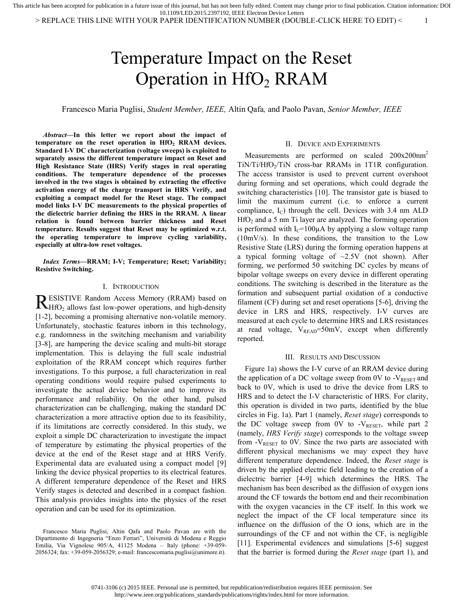> REPLACE THIS LINE WITH YOUR PAPER IDENTIFICATION NUMBER (DOUBLE-CLICK HERE TO EDIT) < 1

# Temperature Impact on the Reset Operation in  $HfO<sub>2</sub>$  RRAM

Francesco Maria Puglisi, *Student Member, IEEE,* Altin Qafa*,* and Paolo Pavan, *Senior Member, IEEE*

*Abstract***—In this letter we report about the impact of temperature on the reset operation in HfO<sup>2</sup> RRAM devices. Standard I-V DC characterization (voltage sweeps) is exploited to separately assess the different temperature impact on Reset and High Resistance State (HRS) Verify stages in real operating conditions. The temperature dependence of the processes involved in the two stages is obtained by extracting the effective activation energy of the charge transport in HRS Verify, and exploiting a compact model for the Reset stage. The compact model links I-V DC measurements to the physical properties of the dielectric barrier defining the HRS in the RRAM. A linear relation is found between barrier thickness and Reset temperature. Results suggest that Reset may be optimized w.r.t. the operating temperature to improve cycling variability, especially at ultra-low reset voltages.**

*Index Terms***—RRAM; I-V; Temperature; Reset; Variability; Resistive Switching.**

## I. INTRODUCTION

ESISTIVE Random Access Memory (RRAM) based on RESISTIVE Random Access Memory (RRAM) based on RHfO<sub>2</sub> allows fast low-power operations, and high-density [1-2], becoming a promising alternative non-volatile memory. Unfortunately, stochastic features inborn in this technology, e.g. randomness in the switching mechanism and variability [3-8], are hampering the device scaling and multi-bit storage implementation. This is delaying the full scale industrial exploitation of the RRAM concept which requires further investigations. To this purpose, a full characterization in real operating conditions would require pulsed experiments to investigate the actual device behavior and to improve its performance and reliability. On the other hand, pulsed characterization can be challenging, making the standard DC characterization a more attractive option due to its feasibility, if its limitations are correctly considered. In this study, we exploit a simple DC characterization to investigate the impact of temperature by estimating the physical properties of the device at the end of the Reset stage and at HRS Verify. Experimental data are evaluated using a compact model [9] linking the device physical properties to its electrical features. A different temperature dependence of the Reset and HRS Verify stages is detected and described in a compact fashion. This analysis provides insights into the physics of the reset operation and can be used for its optimization.

### II. DEVICE AND EXPERIMENTS

Measurements are performed on scaled  $200x200nm^2$ TiN/Ti/HfO<sub>2</sub>/TiN cross-bar RRAMs in 1T1R configuration. The access transistor is used to prevent current overshoot during forming and set operations, which could degrade the switching characteristics [10]. The transistor gate is biased to limit the maximum current (i.e. to enforce a current compliance,  $I_C$ ) through the cell. Devices with 3.4 nm ALD  $HfO<sub>2</sub>$  and a 5 nm Ti layer are analyzed. The forming operation is performed with  $I_c=100\mu A$  by applying a slow voltage ramp (10mV/s). In these conditions, the transition to the Low Resistive State (LRS) during the forming operation happens at a typical forming voltage of  $\sim$ 2.5V (not shown). After forming, we performed 50 switching DC cycles by means of bipolar voltage sweeps on every device in different operating conditions. The switching is described in the literature as the formation and subsequent partial oxidation of a conductive filament (CF) during set and reset operations [5-6], driving the device in LRS and HRS, respectively. I-V curves are measured at each cycle to determine HRS and LRS resistances at read voltage,  $V_{READ} = 50$ mV, except when differently reported.

#### III. RESULTS AND DISCUSSION

Figure 1a) shows the I-V curve of an RRAM device during the application of a DC voltage sweep from 0V to  $-V_{RESET}$  and back to 0V, which is used to drive the device from LRS to HRS and to detect the I-V characteristic of HRS. For clarity, this operation is divided in two parts, identified by the blue circles in Fig. 1a). Part 1 (namely, *Reset stage*) corresponds to the DC voltage sweep from 0V to  $-V_{RESET}$ , while part 2 (namely, *HRS Verify stage*) corresponds to the voltage sweep from  $-V_{RESET}$  to 0V. Since the two parts are associated with different physical mechanisms we may expect they have different temperature dependence. Indeed, the *Reset stage* is driven by the applied electric field leading to the creation of a dielectric barrier [4-9] which determines the HRS. The mechanism has been described as the diffusion of oxygen ions around the CF towards the bottom end and their recombination with the oxygen vacancies in the CF itself. In this work we neglect the impact of the CF local temperature since its influence on the diffusion of the O ions, which are in the surroundings of the CF and not within the CF, is negligible [11]. Experimental evidences and simulations [5-6] suggest that the barrier is formed during the *Reset stage* (part 1), and

Francesco Maria Puglisi, Altin Qafa and Paolo Pavan are with the Dipartimento di Ingegneria "Enzo Ferrari", Università di Modena e Reggio Emilia, Via Vignolese 905/A, 41125 Modena – Italy (phone: +39-059- 2056324; fax: +39-059-2056329; e-mail: francescomaria.puglisi@unimore.it).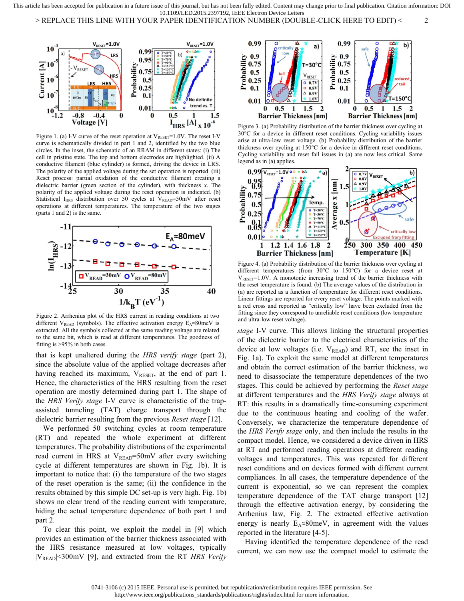> REPLACE THIS LINE WITH YOUR PAPER IDENTIFICATION NUMBER (DOUBLE-CLICK HERE TO EDIT) < 2



Figure 1. (a) I-V curve of the reset operation at  $V_{RESET}$ =1.0V. The reset I-V curve is schematically divided in part 1 and 2, identified by the two blue circles. In the inset, the schematic of an RRAM in different states: (i) The cell in pristine state. The top and bottom electrodes are highlighted. (ii) A conductive filament (blue cylinder) is formed, driving the device in LRS. The polarity of the applied voltage during the set operation is reported. (iii) Reset process: partial oxidation of the conductive filament creating a dielectric barrier (green section of the cylinder), with thickness *x*. The polarity of the applied voltage during the reset operation is indicated. (b) Statistical I<sub>HRS</sub> distribution over 50 cycles at  $V_{\text{READ}}$ =50mV after reset operations at different temperatures. The temperature of the two stages (parts 1 and 2) is the same.



Figure 2. Arrhenius plot of the HRS current in reading conditions at two different V<sub>READ</sub> (symbols). The effective activation energy  $E_A \approx 80$ meV is extracted. All the symbols collected at the same reading voltage are related to the same bit, which is read at different temperatures. The goodness of fitting is >95% in both cases.

that is kept unaltered during the *HRS verify stage* (part 2), since the absolute value of the applied voltage decreases after having reached its maximum,  $V_{RESET}$ , at the end of part 1. Hence, the characteristics of the HRS resulting from the reset operation are mostly determined during part 1. The shape of the *HRS Verify stage* I-V curve is characteristic of the trapassisted tunneling (TAT) charge transport through the dielectric barrier resulting from the previous *Reset stage* [12].

We performed 50 switching cycles at room temperature (RT) and repeated the whole experiment at different temperatures. The probability distributions of the experimental read current in HRS at  $V_{READ} = 50$ mV after every switching cycle at different temperatures are shown in Fig. 1b). It is important to notice that: (i) the temperature of the two stages of the reset operation is the same; (ii) the confidence in the results obtained by this simple DC set-up is very high. Fig. 1b) shows no clear trend of the reading current with temperature, hiding the actual temperature dependence of both part 1 and part 2.

To clear this point, we exploit the model in [9] which provides an estimation of the barrier thickness associated with the HRS resistance measured at low voltages, typically |VREAD|<300mV [9], and extracted from the RT *HRS Verify* 



Figure 3. (a) Probability distribution of the barrier thickness over cycling at 30°C for a device in different reset conditions. Cycling variability issues arise at ultra-low reset voltage. (b) Probability distribution of the barrier thickness over cycling at 150°C for a device in different reset conditions. Cycling variability and reset fail issues in (a) are now less critical. Same legend as in (a) applies.



Figure 4. (a) Probability distribution of the barrier thickness over cycling at different temperatures (from 30°C to 150°C) for a device reset at  $V_{RESET}$ =1.0V. A monotonic increasing trend of the barrier thickness with the reset temperature is found. (b) The average values of the distribution in (a) are reported as a function of temperature for different reset conditions. Linear fittings are reported for every reset voltage. The points marked with a red cross and reported as "critically low" have been excluded from the fitting since they correspond to unreliable reset conditions (low temperature and ultra-low reset voltage).

*stage* I-V curve. This allows linking the structural properties of the dielectric barrier to the electrical characteristics of the device at low voltages (i.e.  $V_{READ}$ ) and RT, see the inset in Fig. 1a). To exploit the same model at different temperatures and obtain the correct estimation of the barrier thickness, we need to disassociate the temperature dependences of the two stages. This could be achieved by performing the *Reset stage* at different temperatures and the *HRS Verify stage* always at RT: this results in a dramatically time-consuming experiment due to the continuous heating and cooling of the wafer. Conversely, we characterize the temperature dependence of the *HRS Verify stage* only, and then include the results in the compact model. Hence, we considered a device driven in HRS at RT and performed reading operations at different reading voltages and temperatures. This was repeated for different reset conditions and on devices formed with different current compliances. In all cases, the temperature dependence of the current is exponential, so we can represent the complex temperature dependence of the TAT charge transport [12] through the effective activation energy, by considering the Arrhenius law, Fig. 2. The extracted effective activation energy is nearly  $E_A \approx 80$  meV, in agreement with the values reported in the literature [4-5].

Having identified the temperature dependence of the read current, we can now use the compact model to estimate the